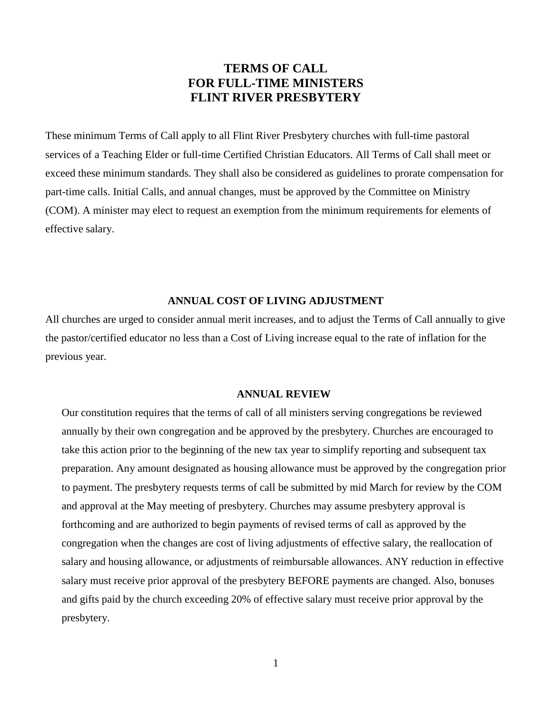## **TERMS OF CALL FOR FULL-TIME MINISTERS FLINT RIVER PRESBYTERY**

These minimum Terms of Call apply to all Flint River Presbytery churches with full-time pastoral services of a Teaching Elder or full-time Certified Christian Educators. All Terms of Call shall meet or exceed these minimum standards. They shall also be considered as guidelines to prorate compensation for part-time calls. Initial Calls, and annual changes, must be approved by the Committee on Ministry (COM). A minister may elect to request an exemption from the minimum requirements for elements of effective salary.

#### **ANNUAL COST OF LIVING ADJUSTMENT**

All churches are urged to consider annual merit increases, and to adjust the Terms of Call annually to give the pastor/certified educator no less than a Cost of Living increase equal to the rate of inflation for the previous year.

#### **ANNUAL REVIEW**

Our constitution requires that the terms of call of all ministers serving congregations be reviewed annually by their own congregation and be approved by the presbytery. Churches are encouraged to take this action prior to the beginning of the new tax year to simplify reporting and subsequent tax preparation. Any amount designated as housing allowance must be approved by the congregation prior to payment. The presbytery requests terms of call be submitted by mid March for review by the COM and approval at the May meeting of presbytery. Churches may assume presbytery approval is forthcoming and are authorized to begin payments of revised terms of call as approved by the congregation when the changes are cost of living adjustments of effective salary, the reallocation of salary and housing allowance, or adjustments of reimbursable allowances. ANY reduction in effective salary must receive prior approval of the presbytery BEFORE payments are changed. Also, bonuses and gifts paid by the church exceeding 20% of effective salary must receive prior approval by the presbytery.

1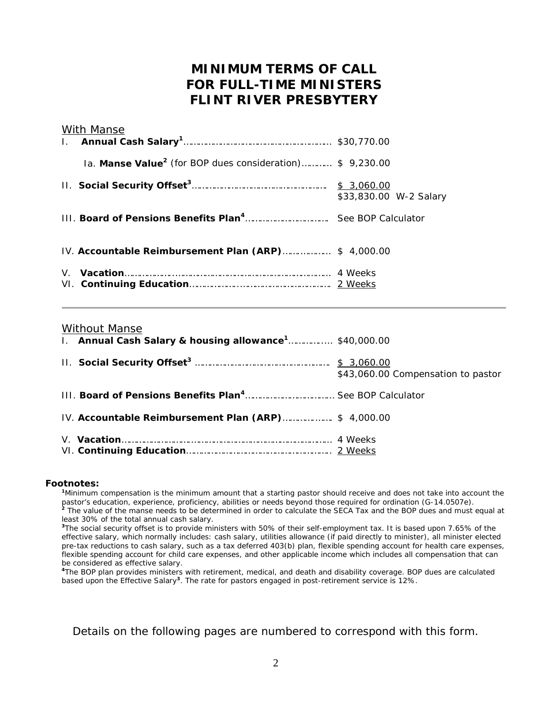# **MINIMUM TERMS OF CALL FOR FULL-TIME MINISTERS FLINT RIVER PRESBYTERY**

| <b>With Manse</b>                                                           |                        |
|-----------------------------------------------------------------------------|------------------------|
| Ia. <b>Manse Value<sup>2</sup></b> (for BOP dues consideration) \$ 9,230.00 |                        |
|                                                                             | \$33,830.00 W-2 Salary |
|                                                                             |                        |
| IV. Accountable Reimbursement Plan (ARP) \$ 4,000.00                        |                        |
|                                                                             |                        |

## *Without Manse*

| 1. Annual Cash Salary & housing allowance <sup>1</sup> \$40,000.00 |                                    |
|--------------------------------------------------------------------|------------------------------------|
|                                                                    | \$43,060.00 Compensation to pastor |
|                                                                    |                                    |
| IV. Accountable Reimbursement Plan (ARP) \$ 4,000.00               |                                    |
|                                                                    |                                    |

#### **Footnotes:**

**<sup>1</sup>**Minimum compensation is the minimum amount that a starting pastor should receive and does not take into account the pastor's education, experience, proficiency, abilities or needs beyond those required for ordination (G-14.0507e). **<sup>2</sup>** The value of the manse needs to be determined in order to calculate the SECA Tax and the BOP dues and *must equal at least 30% of the total annual cash salary.*

<sup>3</sup>The social security offset is to provide ministers with 50% of their self-employment tax. It is based upon 7.65% of the effective salary, which normally includes: cash salary, utilities allowance (if paid directly to minister), all minister elected pre-tax reductions to cash salary, such as a tax deferred 403(b) plan, flexible spending account for health care expenses, flexible spending account for child care expenses, and other applicable income which includes all compensation that can be considered as effective salary.

**<sup>4</sup>**The BOP plan provides ministers with retirement, medical, and death and disability coverage. BOP dues are calculated based upon the Effective Salary**<sup>3</sup>**. The rate for pastors engaged in post-retirement service is 12%.

*Details on the following pages are numbered to correspond with this form.*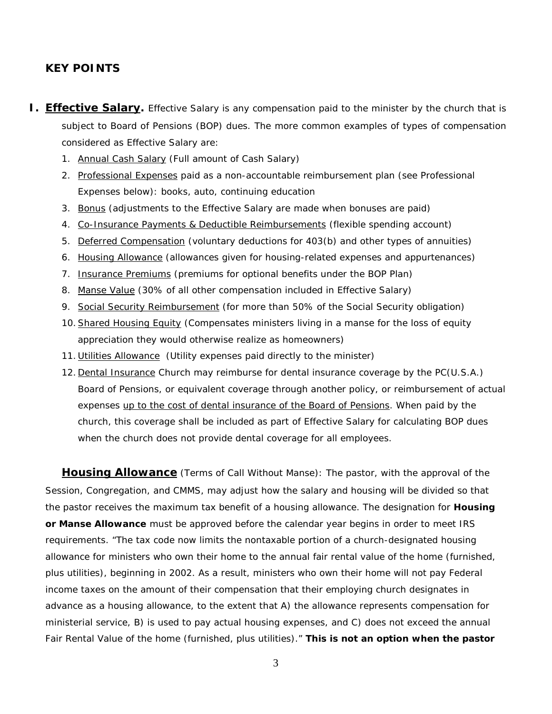## **KEY POINTS**

- **I. Effective Salary.** Effective Salary is any compensation paid to the minister by the church that is subject to Board of Pensions (BOP) dues. The more common examples of types of compensation considered as Effective Salary are:
	- 1. Annual Cash Salary (Full amount of Cash Salary)
	- 2. Professional Expenses paid as a *non-accountable* reimbursement plan (see Professional Expenses below): books, auto, continuing education
	- 3. Bonus (adjustments to the Effective Salary are made when bonuses are paid)
	- 4. Co-Insurance Payments & Deductible Reimbursements (flexible spending account)
	- 5. Deferred Compensation (voluntary deductions for 403(b) and other types of annuities)
	- 6. Housing Allowance (allowances given for housing-related expenses and appurtenances)
	- 7. Insurance Premiums (premiums for optional benefits under the BOP Plan)
	- 8. Manse Value (30% of all other compensation included in Effective Salary)
	- 9. Social Security Reimbursement (*for more than 50%* of the Social Security obligation)
	- 10.Shared Housing Equity (Compensates ministers living in a manse for the loss of equity appreciation they would otherwise realize as homeowners)
	- 11. Utilities Allowance (Utility expenses paid directly to the minister)
	- 12. Dental Insurance Church *may* reimburse for dental insurance coverage by the PC(U.S.A.) Board of Pensions, or equivalent coverage through another policy, or reimbursement of actual expenses up to the cost of dental insurance of the Board of Pensions. When paid by the church, this coverage shall be included as part of Effective Salary for calculating BOP dues when the church does *not* provide dental coverage for all employees.

**Housing Allowance** (Terms of Call Without Manse): The pastor, with the approval of the Session, Congregation, and CMMS, may adjust how the salary and housing will be divided so that the pastor receives the maximum tax benefit of a housing allowance. The designation for **Housing or Manse Allowance** must be approved before the calendar year begins in order to meet IRS requirements. "The tax code now limits the nontaxable portion of a church-designated housing allowance for ministers who own their home to the annual fair rental value of the home (furnished, plus utilities), beginning in 2002. As a result, ministers who own their home will not pay Federal income taxes on the amount of their compensation that their employing church designates in advance as a housing allowance, to the extent that A) the allowance represents compensation for ministerial service, B) is used to pay actual housing expenses, and C) does not exceed the annual Fair Rental Value of the home (furnished, plus utilities)." *This is not an option when the pastor*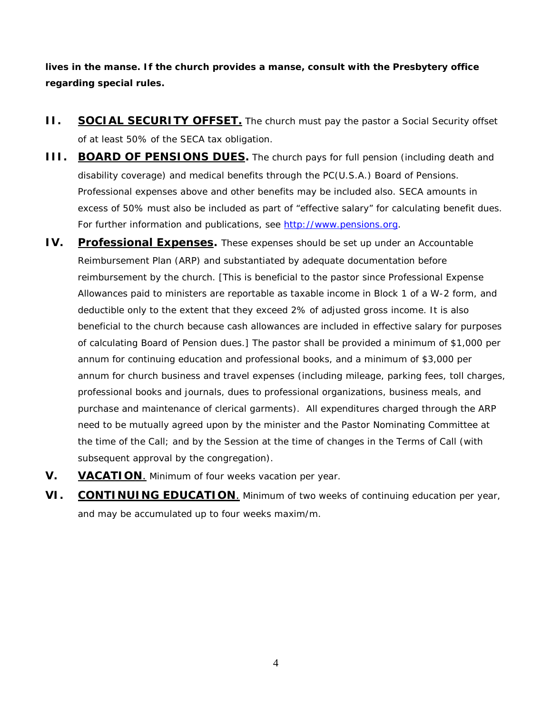*lives in the manse. If the church provides a manse, consult with the Presbytery office regarding special rules.*

- **II. SOCIAL SECURITY OFFSET.** The church must pay the pastor a Social Security offset of at least 50% of the SECA tax obligation.
- **III. BOARD OF PENSIONS DUES.** The church pays for full pension (including death and disability coverage) and medical benefits through the PC(U.S.A.) Board of Pensions. Professional expenses above and other benefits *may* be included also. SECA amounts *in excess of 50% must* also be included as part of "effective salary" for calculating benefit dues. For further information and publications, see [http://www.pensions.org.](http://www.pensions.org/)
- **IV.** Professional Expenses. These expenses should be set up under an Accountable Reimbursement Plan (ARP) and substantiated by adequate documentation before reimbursement by the church. *[This is beneficial to the pastor since Professional Expense Allowances paid to ministers are reportable as taxable income in Block 1 of a W-2 form, and deductible only to the extent that they exceed 2% of adjusted gross income. It is also beneficial to the church because cash allowances are included in effective salary for purposes of calculating Board of Pension dues.]* The pastor shall be provided a *minimum* of \$1,000 per annum for continuing education and professional books, and a *minimum* of \$3,000 per annum for church business and travel expenses (including mileage, parking fees, toll charges, professional books and journals, dues to professional organizations, business meals, and purchase and maintenance of clerical garments). All expenditures charged through the ARP need to be mutually agreed upon by the minister and the Pastor Nominating Committee at the time of the Call; and by the Session at the time of changes in the Terms of Call (with subsequent approval by the congregation).
- **V. VACATION**. *Minimum* of four weeks vacation per year.
- **VI. CONTINUING EDUCATION**. *Minimum* of two weeks of continuing education per year, and may be accumulated up to four weeks m*axim/m*.